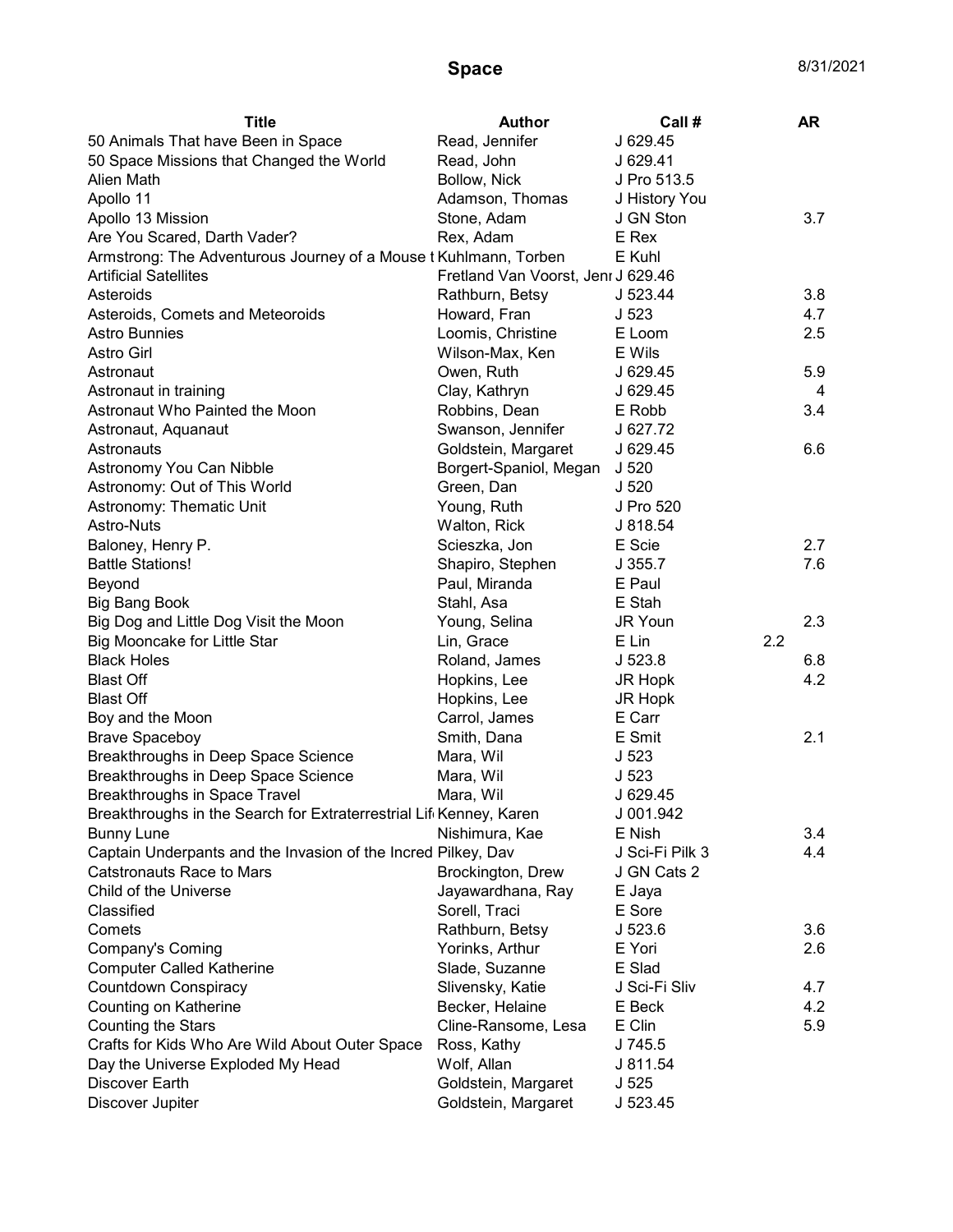| <b>Title</b>                                                       | <b>Author</b>                      | Call #           |     | AR  |
|--------------------------------------------------------------------|------------------------------------|------------------|-----|-----|
| 50 Animals That have Been in Space                                 | Read, Jennifer                     | J 629.45         |     |     |
| 50 Space Missions that Changed the World                           | Read, John                         | J 629.41         |     |     |
| Alien Math                                                         | Bollow, Nick                       | J Pro 513.5      |     |     |
| Apollo 11                                                          | Adamson, Thomas                    | J History You    |     |     |
| Apollo 13 Mission                                                  | Stone, Adam                        | J GN Ston        |     | 3.7 |
| Are You Scared, Darth Vader?                                       | Rex, Adam                          | E Rex            |     |     |
| Armstrong: The Adventurous Journey of a Mouse t Kuhlmann, Torben   |                                    | E Kuhl           |     |     |
| <b>Artificial Satellites</b>                                       | Fretland Van Voorst, Jenr J 629.46 |                  |     |     |
| Asteroids                                                          | Rathburn, Betsy                    | J 523.44         |     | 3.8 |
| Asteroids, Comets and Meteoroids                                   | Howard, Fran                       | J <sub>523</sub> |     | 4.7 |
| <b>Astro Bunnies</b>                                               | Loomis, Christine                  | E Loom           |     | 2.5 |
| Astro Girl                                                         | Wilson-Max, Ken                    | E Wils           |     |     |
| Astronaut                                                          | Owen, Ruth                         | J 629.45         |     | 5.9 |
| Astronaut in training                                              | Clay, Kathryn                      | J 629.45         |     | 4   |
| Astronaut Who Painted the Moon                                     | Robbins, Dean                      | E Robb           |     | 3.4 |
| Astronaut, Aquanaut                                                | Swanson, Jennifer                  | J 627.72         |     |     |
| Astronauts                                                         | Goldstein, Margaret                | J 629.45         |     | 6.6 |
| Astronomy You Can Nibble                                           | Borgert-Spaniol, Megan             | J <sub>520</sub> |     |     |
| Astronomy: Out of This World                                       | Green, Dan                         | J 520            |     |     |
| Astronomy: Thematic Unit                                           | Young, Ruth                        | J Pro 520        |     |     |
| <b>Astro-Nuts</b>                                                  | Walton, Rick                       | J 818.54         |     |     |
| Baloney, Henry P.                                                  | Scieszka, Jon                      | E Scie           |     | 2.7 |
| <b>Battle Stations!</b>                                            | Shapiro, Stephen                   | J 355.7          |     | 7.6 |
| Beyond                                                             | Paul, Miranda                      | E Paul           |     |     |
| <b>Big Bang Book</b>                                               | Stahl, Asa                         | E Stah           |     |     |
| Big Dog and Little Dog Visit the Moon                              | Young, Selina                      | JR Youn          |     | 2.3 |
| Big Mooncake for Little Star                                       | Lin, Grace                         | E Lin            | 2.2 |     |
| <b>Black Holes</b>                                                 | Roland, James                      | J 523.8          |     | 6.8 |
| <b>Blast Off</b>                                                   | Hopkins, Lee                       | JR Hopk          |     | 4.2 |
| <b>Blast Off</b>                                                   | Hopkins, Lee                       | JR Hopk          |     |     |
| Boy and the Moon                                                   | Carrol, James                      | E Carr           |     |     |
| <b>Brave Spaceboy</b>                                              | Smith, Dana                        | E Smit           |     | 2.1 |
| Breakthroughs in Deep Space Science                                | Mara, Wil                          | J <sub>523</sub> |     |     |
| Breakthroughs in Deep Space Science                                | Mara, Wil                          | J <sub>523</sub> |     |     |
| Breakthroughs in Space Travel                                      | Mara, Wil                          | J 629.45         |     |     |
| Breakthroughs in the Search for Extraterrestrial Lif Kenney, Karen |                                    | J 001.942        |     |     |
| <b>Bunny Lune</b>                                                  | Nishimura, Kae                     | E Nish           |     | 3.4 |
| Captain Underpants and the Invasion of the Incred Pilkey, Dav      |                                    | J Sci-Fi Pilk 3  |     | 4.4 |
| <b>Catstronauts Race to Mars</b>                                   | Brockington, Drew                  | J GN Cats 2      |     |     |
| Child of the Universe                                              | Jayawardhana, Ray                  | E Jaya           |     |     |
| Classified                                                         | Sorell, Traci                      | E Sore           |     |     |
| Comets                                                             | Rathburn, Betsy                    | J 523.6          |     | 3.6 |
| Company's Coming                                                   | Yorinks, Arthur                    | E Yori           |     | 2.6 |
| <b>Computer Called Katherine</b>                                   | Slade, Suzanne                     | E Slad           |     |     |
| Countdown Conspiracy                                               | Slivensky, Katie                   | J Sci-Fi Sliv    |     | 4.7 |
| Counting on Katherine                                              | Becker, Helaine                    | E Beck           |     | 4.2 |
|                                                                    |                                    |                  |     |     |
| <b>Counting the Stars</b>                                          | Cline-Ransome, Lesa                | E Clin           |     | 5.9 |
| Crafts for Kids Who Are Wild About Outer Space                     | Ross, Kathy                        | J 745.5          |     |     |
| Day the Universe Exploded My Head                                  | Wolf, Allan                        | J 811.54         |     |     |
| Discover Earth                                                     | Goldstein, Margaret                | J <sub>525</sub> |     |     |
| Discover Jupiter                                                   | Goldstein, Margaret                | J 523.45         |     |     |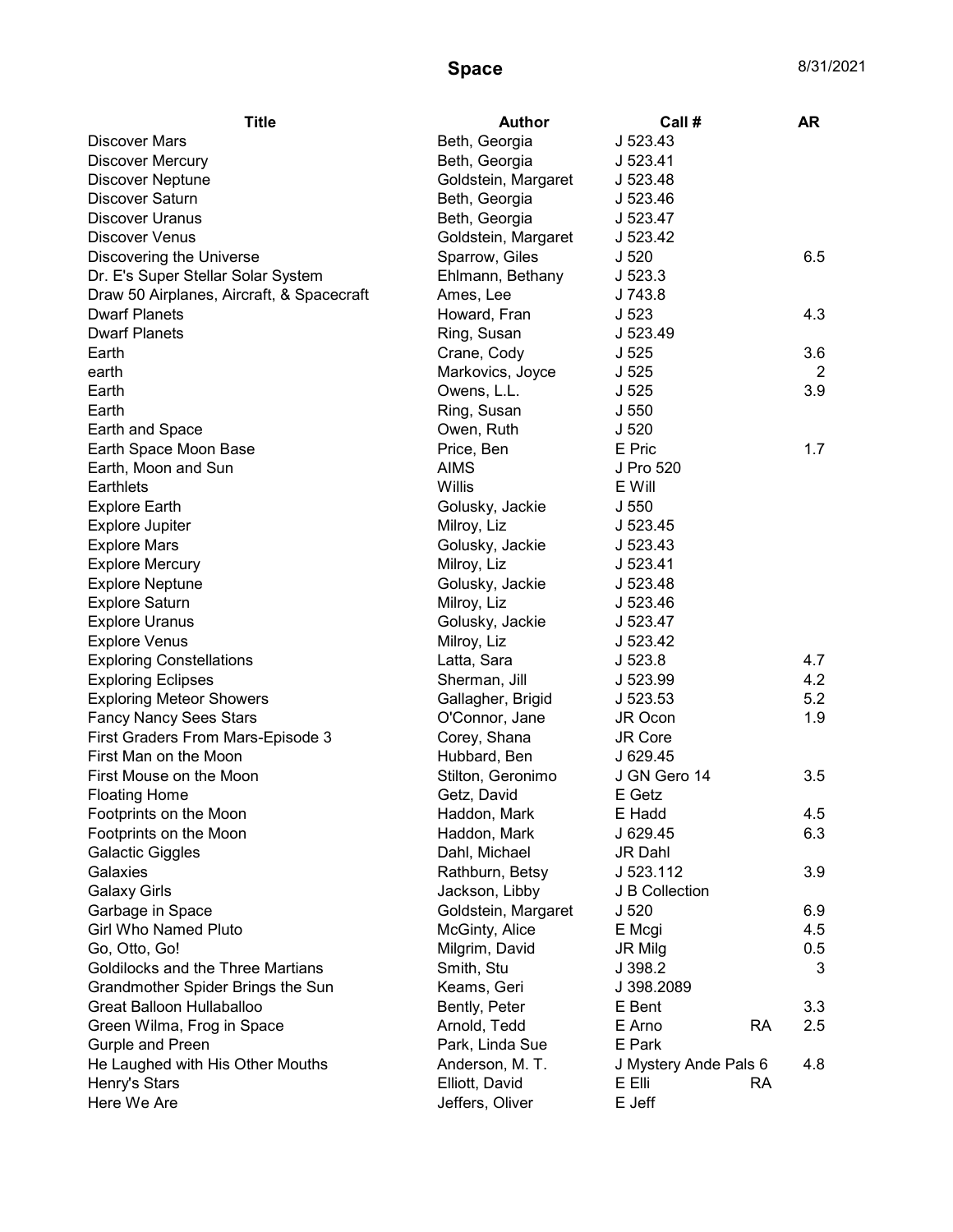| <b>Title</b>                              | Author              | Call #                | <b>AR</b> |
|-------------------------------------------|---------------------|-----------------------|-----------|
| <b>Discover Mars</b>                      | Beth, Georgia       | J 523.43              |           |
| <b>Discover Mercury</b>                   | Beth, Georgia       | J 523.41              |           |
| <b>Discover Neptune</b>                   | Goldstein, Margaret | J 523.48              |           |
| <b>Discover Saturn</b>                    | Beth, Georgia       | J 523.46              |           |
| <b>Discover Uranus</b>                    | Beth, Georgia       | J 523.47              |           |
| <b>Discover Venus</b>                     | Goldstein, Margaret | J 523.42              |           |
| Discovering the Universe                  | Sparrow, Giles      | J <sub>520</sub>      | 6.5       |
| Dr. E's Super Stellar Solar System        | Ehlmann, Bethany    | J523.3                |           |
| Draw 50 Airplanes, Aircraft, & Spacecraft | Ames, Lee           | J 743.8               |           |
| <b>Dwarf Planets</b>                      | Howard, Fran        | J <sub>523</sub>      | 4.3       |
| <b>Dwarf Planets</b>                      | Ring, Susan         | J 523.49              |           |
| Earth                                     | Crane, Cody         | J <sub>525</sub>      | 3.6       |
| earth                                     | Markovics, Joyce    | J <sub>525</sub>      | 2         |
| Earth                                     | Owens, L.L.         | J <sub>525</sub>      | 3.9       |
| Earth                                     | Ring, Susan         | J 550                 |           |
| Earth and Space                           | Owen, Ruth          | J 520                 |           |
| Earth Space Moon Base                     | Price, Ben          | E Pric                | 1.7       |
| Earth, Moon and Sun                       | <b>AIMS</b>         | J Pro 520             |           |
| Earthlets                                 | Willis              | E Will                |           |
| <b>Explore Earth</b>                      | Golusky, Jackie     | J 550                 |           |
| <b>Explore Jupiter</b>                    | Milroy, Liz         | J 523.45              |           |
| <b>Explore Mars</b>                       | Golusky, Jackie     | J 523.43              |           |
| <b>Explore Mercury</b>                    | Milroy, Liz         | J 523.41              |           |
| <b>Explore Neptune</b>                    | Golusky, Jackie     | J 523.48              |           |
| <b>Explore Saturn</b>                     | Milroy, Liz         | J 523.46              |           |
| <b>Explore Uranus</b>                     | Golusky, Jackie     | J 523.47              |           |
| <b>Explore Venus</b>                      | Milroy, Liz         | J 523.42              |           |
| <b>Exploring Constellations</b>           | Latta, Sara         | J <sub>523.8</sub>    | 4.7       |
| <b>Exploring Eclipses</b>                 | Sherman, Jill       | J 523.99              | 4.2       |
| <b>Exploring Meteor Showers</b>           | Gallagher, Brigid   | J 523.53              | 5.2       |
| <b>Fancy Nancy Sees Stars</b>             | O'Connor, Jane      | JR Ocon               | 1.9       |
| First Graders From Mars-Episode 3         | Corey, Shana        | JR Core               |           |
| First Man on the Moon                     | Hubbard, Ben        | J 629.45              |           |
| First Mouse on the Moon                   | Stilton, Geronimo   | J GN Gero 14          | 3.5       |
| <b>Floating Home</b>                      | Getz, David         | E Getz                |           |
| Footprints on the Moon                    | Haddon, Mark        | E Hadd                | 4.5       |
| Footprints on the Moon                    | Haddon, Mark        | J 629.45              | 6.3       |
| <b>Galactic Giggles</b>                   | Dahl, Michael       | JR Dahl               |           |
| Galaxies                                  | Rathburn, Betsy     | J 523.112             | 3.9       |
| <b>Galaxy Girls</b>                       | Jackson, Libby      | J B Collection        |           |
| Garbage in Space                          | Goldstein, Margaret | J 520                 | 6.9       |
| <b>Girl Who Named Pluto</b>               | McGinty, Alice      | E Mcgi                | 4.5       |
| Go, Otto, Go!                             | Milgrim, David      | <b>JR Milg</b>        | 0.5       |
| Goldilocks and the Three Martians         | Smith, Stu          | J 398.2               | 3         |
| Grandmother Spider Brings the Sun         | Keams, Geri         | J 398.2089            |           |
| Great Balloon Hullaballoo                 | Bently, Peter       | E Bent                | 3.3       |
| Green Wilma, Frog in Space                | Arnold, Tedd        | E Arno<br><b>RA</b>   | 2.5       |
| Gurple and Preen                          | Park, Linda Sue     | E Park                |           |
| He Laughed with His Other Mouths          | Anderson, M. T.     | J Mystery Ande Pals 6 | 4.8       |
| Henry's Stars                             | Elliott, David      | E Elli<br>RA          |           |
| Here We Are                               | Jeffers, Oliver     | E Jeff                |           |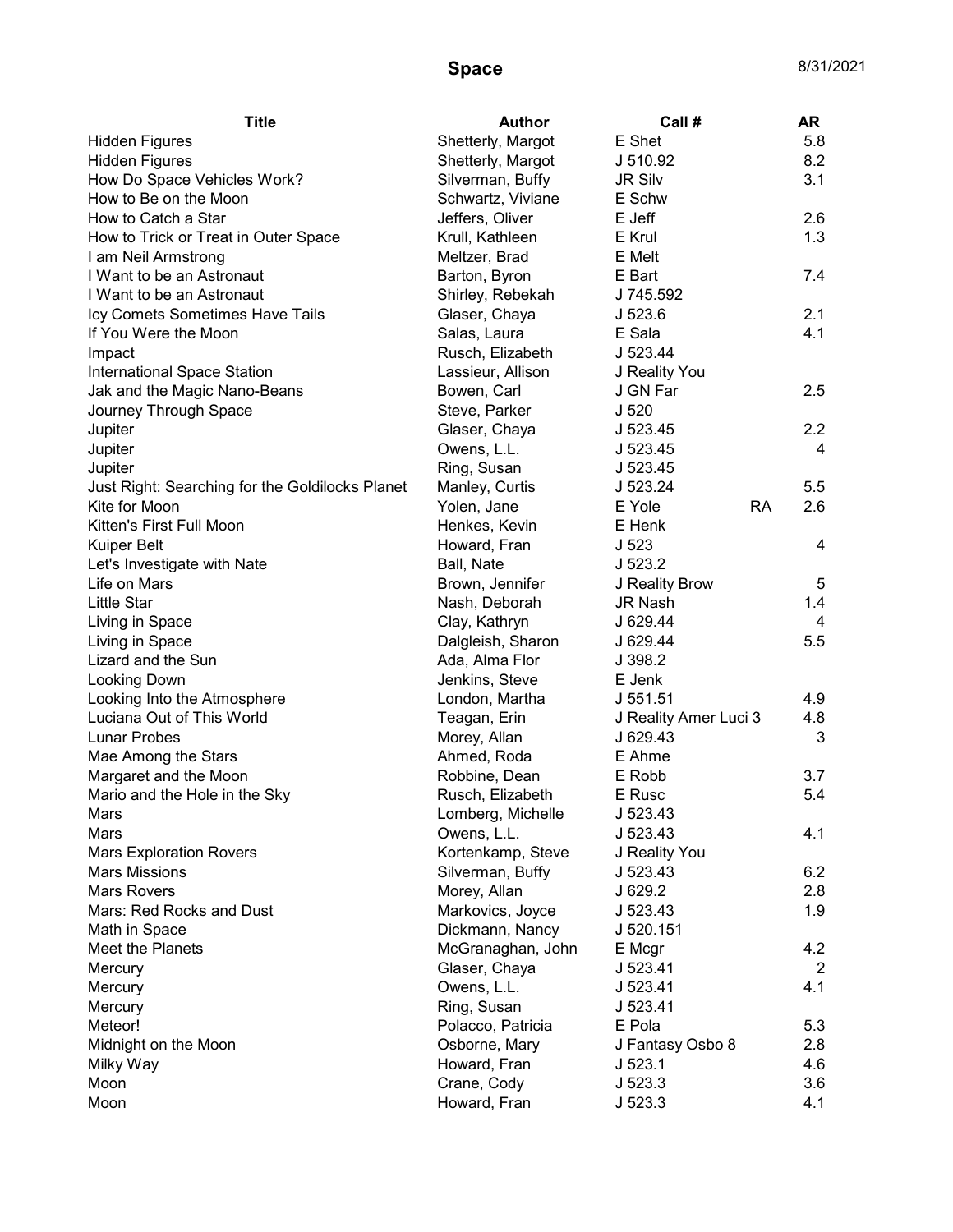| <b>Title</b>                                    | <b>Author</b>     | Call #                | <b>AR</b>      |
|-------------------------------------------------|-------------------|-----------------------|----------------|
| <b>Hidden Figures</b>                           | Shetterly, Margot | E Shet                | 5.8            |
| <b>Hidden Figures</b>                           | Shetterly, Margot | J 510.92              | 8.2            |
| How Do Space Vehicles Work?                     | Silverman, Buffy  | <b>JR Silv</b>        | 3.1            |
| How to Be on the Moon                           | Schwartz, Viviane | E Schw                |                |
| How to Catch a Star                             | Jeffers, Oliver   | E Jeff                | 2.6            |
| How to Trick or Treat in Outer Space            | Krull, Kathleen   | E Krul                | 1.3            |
| I am Neil Armstrong                             | Meltzer, Brad     | E Melt                |                |
| I Want to be an Astronaut                       | Barton, Byron     | E Bart                | 7.4            |
| I Want to be an Astronaut                       | Shirley, Rebekah  | J 745.592             |                |
| Icy Comets Sometimes Have Tails                 | Glaser, Chaya     | J <sub>523.6</sub>    | 2.1            |
| If You Were the Moon                            | Salas, Laura      | E Sala                | 4.1            |
| Impact                                          | Rusch, Elizabeth  | J 523.44              |                |
| International Space Station                     | Lassieur, Allison | J Reality You         |                |
| Jak and the Magic Nano-Beans                    | Bowen, Carl       | J GN Far              | 2.5            |
| Journey Through Space                           | Steve, Parker     | J <sub>520</sub>      |                |
| Jupiter                                         | Glaser, Chaya     | J 523.45              | 2.2            |
| Jupiter                                         | Owens, L.L.       | J 523.45              | 4              |
| Jupiter                                         | Ring, Susan       | J 523.45              |                |
| Just Right: Searching for the Goldilocks Planet | Manley, Curtis    | J 523.24              | 5.5            |
| Kite for Moon                                   | Yolen, Jane       | E Yole<br><b>RA</b>   | 2.6            |
| Kitten's First Full Moon                        | Henkes, Kevin     | E Henk                |                |
| <b>Kuiper Belt</b>                              | Howard, Fran      | J <sub>523</sub>      | 4              |
| Let's Investigate with Nate                     | Ball, Nate        | J 523.2               |                |
| Life on Mars                                    | Brown, Jennifer   | J Reality Brow        | 5              |
| <b>Little Star</b>                              | Nash, Deborah     | JR Nash               | 1.4            |
| Living in Space                                 | Clay, Kathryn     | J 629.44              | 4              |
| Living in Space                                 | Dalgleish, Sharon | J 629.44              | 5.5            |
| Lizard and the Sun                              | Ada, Alma Flor    | J 398.2               |                |
| Looking Down                                    | Jenkins, Steve    | E Jenk                |                |
| Looking Into the Atmosphere                     | London, Martha    | J 551.51              | 4.9            |
| Luciana Out of This World                       | Teagan, Erin      | J Reality Amer Luci 3 | 4.8            |
| <b>Lunar Probes</b>                             | Morey, Allan      | J 629.43              | 3              |
| Mae Among the Stars                             | Ahmed, Roda       | E Ahme                |                |
| Margaret and the Moon                           | Robbine, Dean     | E Robb                | 3.7            |
| Mario and the Hole in the Sky                   | Rusch, Elizabeth  | E Rusc                | 5.4            |
| Mars                                            | Lomberg, Michelle | J 523.43              |                |
| Mars                                            | Owens, L.L.       | J 523.43              | 4.1            |
| <b>Mars Exploration Rovers</b>                  | Kortenkamp, Steve | J Reality You         |                |
| <b>Mars Missions</b>                            | Silverman, Buffy  | J 523.43              | 6.2            |
| <b>Mars Rovers</b>                              | Morey, Allan      | J 629.2               | 2.8            |
| Mars: Red Rocks and Dust                        |                   | J 523.43              | 1.9            |
|                                                 | Markovics, Joyce  |                       |                |
| Math in Space                                   | Dickmann, Nancy   | J 520.151             |                |
| Meet the Planets                                | McGranaghan, John | E Mcgr                | 4.2            |
| Mercury                                         | Glaser, Chaya     | J 523.41              | $\overline{2}$ |
| Mercury                                         | Owens, L.L.       | J 523.41              | 4.1            |
| Mercury                                         | Ring, Susan       | J 523.41              |                |
| Meteor!                                         | Polacco, Patricia | E Pola                | 5.3            |
| Midnight on the Moon                            | Osborne, Mary     | J Fantasy Osbo 8      | 2.8            |
| Milky Way                                       | Howard, Fran      | J 523.1               | 4.6            |
| Moon                                            | Crane, Cody       | J 523.3               | 3.6            |
| Moon                                            | Howard, Fran      | J <sub>523.3</sub>    | 4.1            |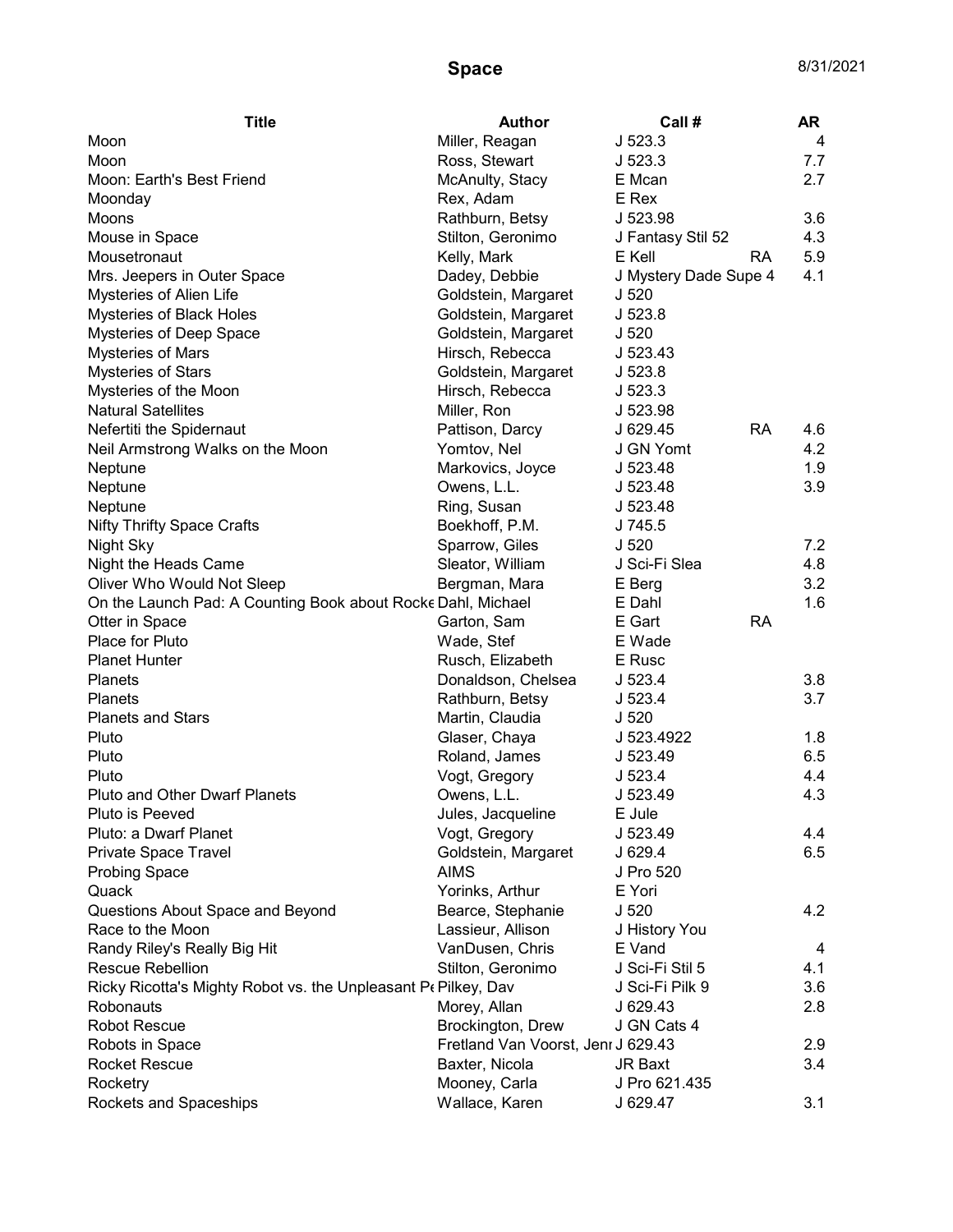| <b>Title</b>                                                   | <b>Author</b>                      | Call#                 |           | AR  |
|----------------------------------------------------------------|------------------------------------|-----------------------|-----------|-----|
| Moon                                                           | Miller, Reagan                     | J523.3                |           | 4   |
| Moon                                                           | Ross, Stewart                      | J523.3                |           | 7.7 |
| Moon: Earth's Best Friend                                      | McAnulty, Stacy                    | E Mcan                |           | 2.7 |
| Moonday                                                        | Rex, Adam                          | E Rex                 |           |     |
| Moons                                                          | Rathburn, Betsy                    | J 523.98              |           | 3.6 |
| Mouse in Space                                                 | Stilton, Geronimo                  | J Fantasy Stil 52     |           | 4.3 |
| Mousetronaut                                                   | Kelly, Mark                        | E Kell                | RA.       | 5.9 |
| Mrs. Jeepers in Outer Space                                    | Dadey, Debbie                      | J Mystery Dade Supe 4 |           | 4.1 |
| Mysteries of Alien Life                                        | Goldstein, Margaret                | J <sub>520</sub>      |           |     |
| Mysteries of Black Holes                                       | Goldstein, Margaret                | J 523.8               |           |     |
| Mysteries of Deep Space                                        | Goldstein, Margaret                | J 520                 |           |     |
| <b>Mysteries of Mars</b>                                       | Hirsch, Rebecca                    | J 523.43              |           |     |
| <b>Mysteries of Stars</b>                                      | Goldstein, Margaret                | J 523.8               |           |     |
| Mysteries of the Moon                                          | Hirsch, Rebecca                    | J <sub>523.3</sub>    |           |     |
| <b>Natural Satellites</b>                                      | Miller, Ron                        | J 523.98              |           |     |
| Nefertiti the Spidernaut                                       | Pattison, Darcy                    | J 629.45              | <b>RA</b> | 4.6 |
| Neil Armstrong Walks on the Moon                               | Yomtov, Nel                        | J GN Yomt             |           | 4.2 |
| Neptune                                                        | Markovics, Joyce                   | J 523.48              |           | 1.9 |
| Neptune                                                        | Owens, L.L.                        | J 523.48              |           | 3.9 |
| Neptune                                                        | Ring, Susan                        | J 523.48              |           |     |
| <b>Nifty Thrifty Space Crafts</b>                              | Boekhoff, P.M.                     | J 745.5               |           |     |
| Night Sky                                                      | Sparrow, Giles                     | J <sub>520</sub>      |           | 7.2 |
| Night the Heads Came                                           | Sleator, William                   | J Sci-Fi Slea         |           | 4.8 |
| Oliver Who Would Not Sleep                                     | Bergman, Mara                      | E Berg                |           | 3.2 |
| On the Launch Pad: A Counting Book about Rocke Dahl, Michael   |                                    | E Dahl                |           | 1.6 |
| Otter in Space                                                 | Garton, Sam                        | E Gart                | RA        |     |
| Place for Pluto                                                | Wade, Stef                         | E Wade                |           |     |
| <b>Planet Hunter</b>                                           | Rusch, Elizabeth                   | E Rusc                |           |     |
| <b>Planets</b>                                                 | Donaldson, Chelsea                 | J 523.4               |           | 3.8 |
| <b>Planets</b>                                                 | Rathburn, Betsy                    | J 523.4               |           | 3.7 |
| <b>Planets and Stars</b>                                       | Martin, Claudia                    | J <sub>520</sub>      |           |     |
| Pluto                                                          | Glaser, Chaya                      | J 523.4922            |           | 1.8 |
| Pluto                                                          | Roland, James                      | J 523.49              |           | 6.5 |
| Pluto                                                          | Vogt, Gregory                      | J 523.4               |           | 4.4 |
| <b>Pluto and Other Dwarf Planets</b>                           | Owens, L.L.                        | J 523.49              |           | 4.3 |
| Pluto is Peeved                                                | Jules, Jacqueline                  | E Jule                |           |     |
| Pluto: a Dwarf Planet                                          | Vogt, Gregory                      | J 523.49              |           | 4.4 |
| Private Space Travel                                           | Goldstein, Margaret                | J 629.4               |           | 6.5 |
| <b>Probing Space</b>                                           | <b>AIMS</b>                        | J Pro 520             |           |     |
| Quack                                                          | Yorinks, Arthur                    | E Yori                |           |     |
| Questions About Space and Beyond                               | Bearce, Stephanie                  | J <sub>520</sub>      |           | 4.2 |
| Race to the Moon                                               | Lassieur, Allison                  | J History You         |           |     |
| Randy Riley's Really Big Hit                                   | VanDusen, Chris                    | E Vand                |           | 4   |
| Rescue Rebellion                                               | Stilton, Geronimo                  | J Sci-Fi Stil 5       |           | 4.1 |
| Ricky Ricotta's Mighty Robot vs. the Unpleasant Pe Pilkey, Dav |                                    | J Sci-Fi Pilk 9       |           | 3.6 |
| Robonauts                                                      | Morey, Allan                       | J 629.43              |           | 2.8 |
| <b>Robot Rescue</b>                                            | Brockington, Drew                  | J GN Cats 4           |           |     |
| Robots in Space                                                | Fretland Van Voorst, Jenr J 629.43 |                       |           | 2.9 |
| <b>Rocket Rescue</b>                                           | Baxter, Nicola                     | JR Baxt               |           | 3.4 |
| Rocketry                                                       | Mooney, Carla                      | J Pro 621.435         |           |     |
| Rockets and Spaceships                                         | Wallace, Karen                     | J 629.47              |           | 3.1 |
|                                                                |                                    |                       |           |     |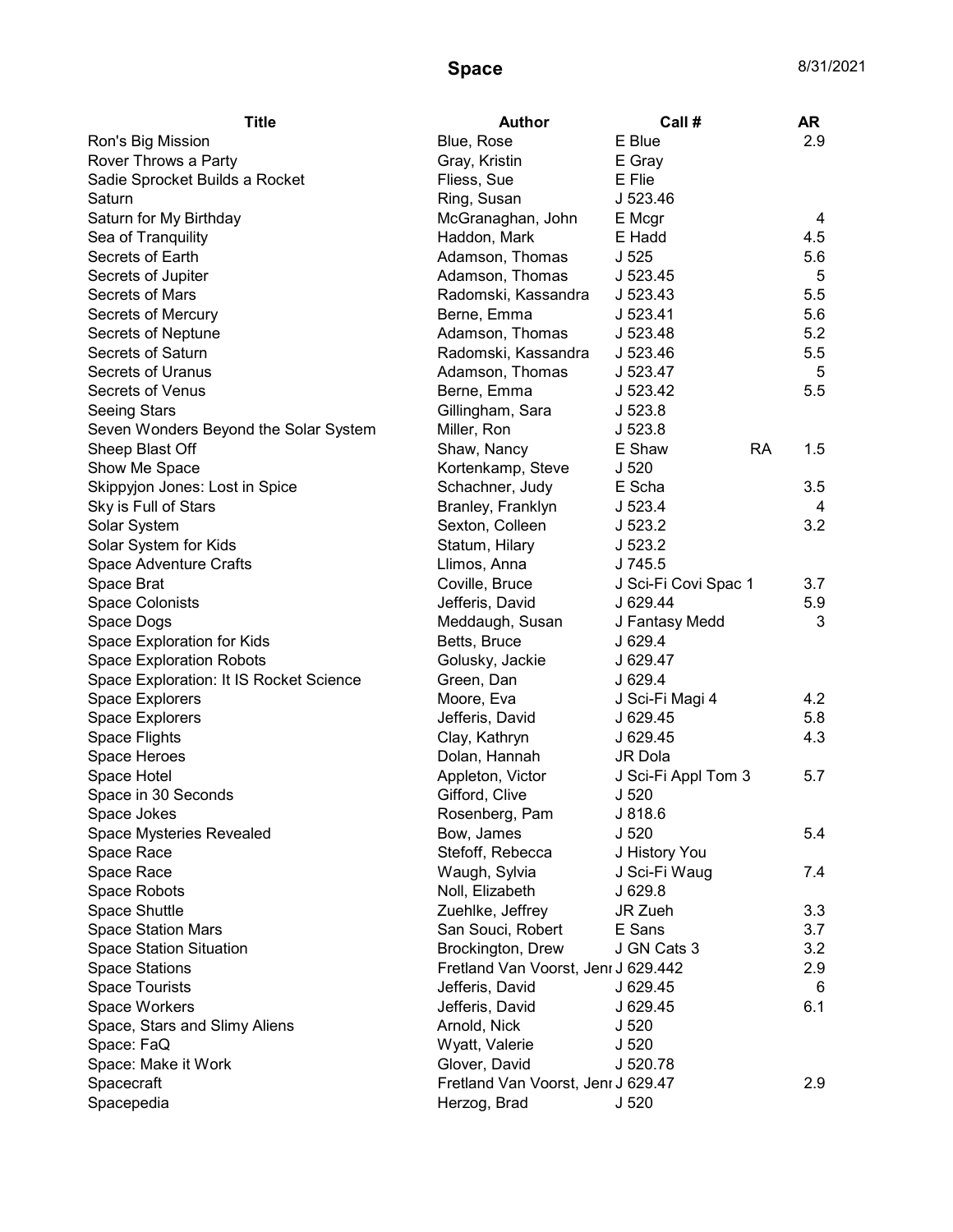| <b>Title</b>                            | <b>Author</b>                       | Call #                      | AR  |
|-----------------------------------------|-------------------------------------|-----------------------------|-----|
| Ron's Big Mission                       | Blue, Rose                          | E Blue                      | 2.9 |
| Rover Throws a Party                    | Gray, Kristin                       | E Gray                      |     |
| Sadie Sprocket Builds a Rocket          | Fliess, Sue                         | E Flie                      |     |
| Saturn                                  | Ring, Susan                         | J 523.46                    |     |
| Saturn for My Birthday                  | McGranaghan, John                   | E Mcgr                      | 4   |
| Sea of Tranquility                      | Haddon, Mark                        | E Hadd                      | 4.5 |
| Secrets of Earth                        | Adamson, Thomas                     | J <sub>525</sub>            | 5.6 |
| Secrets of Jupiter                      | Adamson, Thomas                     | J 523.45                    | 5   |
| Secrets of Mars                         | Radomski, Kassandra                 | J 523.43                    | 5.5 |
| Secrets of Mercury                      | Berne, Emma                         | J 523.41                    | 5.6 |
| Secrets of Neptune                      | Adamson, Thomas                     | J 523.48                    | 5.2 |
| Secrets of Saturn                       | Radomski, Kassandra                 | J 523.46                    | 5.5 |
| Secrets of Uranus                       | Adamson, Thomas                     | J 523.47                    | 5   |
| Secrets of Venus                        | Berne, Emma                         | J 523.42                    | 5.5 |
| <b>Seeing Stars</b>                     | Gillingham, Sara                    | J 523.8                     |     |
| Seven Wonders Beyond the Solar System   | Miller, Ron                         | J 523.8                     |     |
| Sheep Blast Off                         | Shaw, Nancy                         | E Shaw<br><b>RA</b>         | 1.5 |
| Show Me Space                           | Kortenkamp, Steve                   | J <sub>520</sub>            |     |
| Skippyjon Jones: Lost in Spice          | Schachner, Judy                     | E Scha                      | 3.5 |
| Sky is Full of Stars                    | Branley, Franklyn                   | J 523.4                     | 4   |
| Solar System                            | Sexton, Colleen                     | J 523.2                     | 3.2 |
| Solar System for Kids                   | Statum, Hilary                      | J 523.2                     |     |
| Space Adventure Crafts                  | Llimos, Anna                        | J 745.5                     |     |
| Space Brat                              | Coville, Bruce                      | J Sci-Fi Covi Spac 1        | 3.7 |
| <b>Space Colonists</b>                  | Jefferis, David                     | J 629.44                    | 5.9 |
| Space Dogs                              | Meddaugh, Susan                     | J Fantasy Medd              | 3   |
| Space Exploration for Kids              | Betts, Bruce                        | J 629.4                     |     |
| <b>Space Exploration Robots</b>         | Golusky, Jackie                     | J 629.47                    |     |
| Space Exploration: It IS Rocket Science | Green, Dan                          | J629.4                      |     |
| Space Explorers                         | Moore, Eva                          | J Sci-Fi Magi 4             | 4.2 |
| Space Explorers                         | Jefferis, David                     | J 629.45                    | 5.8 |
|                                         | Clay, Kathryn                       | J 629.45                    | 4.3 |
| Space Flights<br>Space Heroes           | Dolan, Hannah                       | JR Dola                     |     |
| Space Hotel                             |                                     |                             | 5.7 |
|                                         | Appleton, Victor<br>Gifford, Clive  | J Sci-Fi Appl Tom 3         |     |
| Space in 30 Seconds<br>Space Jokes      | Rosenberg, Pam                      | J <sub>520</sub><br>J 818.6 |     |
|                                         |                                     |                             |     |
| Space Mysteries Revealed                | Bow, James                          | J <sub>520</sub>            | 5.4 |
| Space Race                              | Stefoff, Rebecca                    | J History You               |     |
| Space Race                              | Waugh, Sylvia                       | J Sci-Fi Waug               | 7.4 |
| Space Robots                            | Noll, Elizabeth                     | J 629.8                     |     |
| Space Shuttle                           | Zuehlke, Jeffrey                    | JR Zueh                     | 3.3 |
| <b>Space Station Mars</b>               | San Souci, Robert                   | E Sans                      | 3.7 |
| Space Station Situation                 | Brockington, Drew                   | J GN Cats 3                 | 3.2 |
| <b>Space Stations</b>                   | Fretland Van Voorst, Jenr J 629.442 |                             | 2.9 |
| <b>Space Tourists</b>                   | Jefferis, David                     | J 629.45                    | 6   |
| Space Workers                           | Jefferis, David                     | J 629.45                    | 6.1 |
| Space, Stars and Slimy Aliens           | Arnold, Nick                        | J 520                       |     |
| Space: FaQ                              | Wyatt, Valerie                      | J <sub>520</sub>            |     |
| Space: Make it Work                     | Glover, David                       | J 520.78                    |     |
| Spacecraft                              | Fretland Van Voorst, Jenr J 629.47  |                             | 2.9 |
| Spacepedia                              | Herzog, Brad                        | J <sub>520</sub>            |     |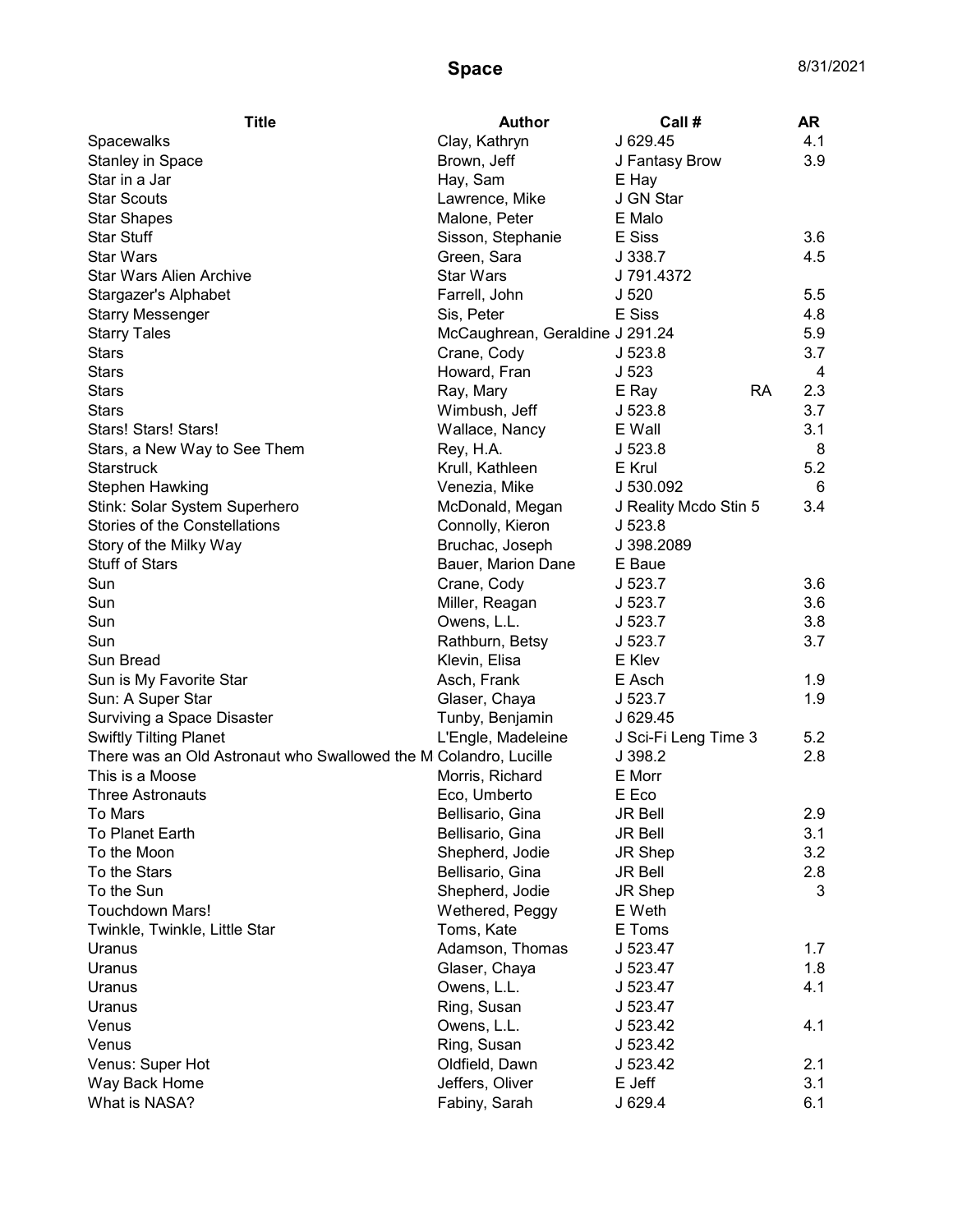| <b>Title</b>                                                     | <b>Author</b>                   | Call #                | AR  |
|------------------------------------------------------------------|---------------------------------|-----------------------|-----|
| Spacewalks                                                       | Clay, Kathryn                   | J 629.45              | 4.1 |
| <b>Stanley in Space</b>                                          | Brown, Jeff                     | J Fantasy Brow        | 3.9 |
| Star in a Jar                                                    | Hay, Sam                        | E Hay                 |     |
| <b>Star Scouts</b>                                               | Lawrence, Mike                  | J GN Star             |     |
| <b>Star Shapes</b>                                               | Malone, Peter                   | E Malo                |     |
| <b>Star Stuff</b>                                                | Sisson, Stephanie               | E Siss                | 3.6 |
| <b>Star Wars</b>                                                 | Green, Sara                     | J 338.7               | 4.5 |
| <b>Star Wars Alien Archive</b>                                   | <b>Star Wars</b>                | J 791.4372            |     |
| Stargazer's Alphabet                                             | Farrell, John                   | J 520                 | 5.5 |
| <b>Starry Messenger</b>                                          | Sis, Peter                      | E Siss                | 4.8 |
| <b>Starry Tales</b>                                              | McCaughrean, Geraldine J 291.24 |                       | 5.9 |
| <b>Stars</b>                                                     | Crane, Cody                     | J <sub>523.8</sub>    | 3.7 |
| <b>Stars</b>                                                     | Howard, Fran                    | J <sub>523</sub>      | 4   |
| <b>Stars</b>                                                     | Ray, Mary                       | <b>RA</b><br>E Ray    | 2.3 |
| <b>Stars</b>                                                     | Wimbush, Jeff                   | J <sub>523.8</sub>    | 3.7 |
| Stars! Stars! Stars!                                             | Wallace, Nancy                  | E Wall                | 3.1 |
| Stars, a New Way to See Them                                     | Rey, H.A.                       | J <sub>523.8</sub>    | 8   |
| <b>Starstruck</b>                                                | Krull, Kathleen                 | E Krul                | 5.2 |
| <b>Stephen Hawking</b>                                           | Venezia, Mike                   | J 530.092             | 6   |
| Stink: Solar System Superhero                                    | McDonald, Megan                 | J Reality Mcdo Stin 5 | 3.4 |
| Stories of the Constellations                                    | Connolly, Kieron                | J <sub>523.8</sub>    |     |
| Story of the Milky Way                                           | Bruchac, Joseph                 | J 398.2089            |     |
| <b>Stuff of Stars</b>                                            | Bauer, Marion Dane              | E Baue                |     |
| Sun                                                              | Crane, Cody                     | J 523.7               | 3.6 |
| Sun                                                              | Miller, Reagan                  | J 523.7               | 3.6 |
| Sun                                                              | Owens, L.L.                     | J 523.7               | 3.8 |
| Sun                                                              | Rathburn, Betsy                 | J 523.7               | 3.7 |
| Sun Bread                                                        | Klevin, Elisa                   | E Klev                |     |
| Sun is My Favorite Star                                          | Asch, Frank                     | E Asch                | 1.9 |
| Sun: A Super Star                                                | Glaser, Chaya                   | J 523.7               | 1.9 |
| Surviving a Space Disaster                                       | Tunby, Benjamin                 | J 629.45              |     |
| <b>Swiftly Tilting Planet</b>                                    | L'Engle, Madeleine              | J Sci-Fi Leng Time 3  | 5.2 |
| There was an Old Astronaut who Swallowed the M Colandro, Lucille |                                 | J 398.2               | 2.8 |
| This is a Moose                                                  | Morris, Richard                 | E Morr                |     |
| <b>Three Astronauts</b>                                          | Eco, Umberto                    | E Eco                 |     |
| To Mars                                                          | Bellisario, Gina                | <b>JR Bell</b>        | 2.9 |
| To Planet Earth                                                  | Bellisario, Gina                | <b>JR Bell</b>        | 3.1 |
| To the Moon                                                      | Shepherd, Jodie                 | JR Shep               | 3.2 |
| To the Stars                                                     | Bellisario, Gina                | JR Bell               | 2.8 |
| To the Sun                                                       | Shepherd, Jodie                 | JR Shep               | 3   |
| <b>Touchdown Mars!</b>                                           | Wethered, Peggy                 | E Weth                |     |
| Twinkle, Twinkle, Little Star                                    | Toms, Kate                      | E Toms                |     |
| Uranus                                                           | Adamson, Thomas                 | J 523.47              | 1.7 |
| Uranus                                                           | Glaser, Chaya                   | J 523.47              | 1.8 |
| Uranus                                                           | Owens, L.L.                     | J 523.47              | 4.1 |
| Uranus                                                           | Ring, Susan                     | J 523.47              |     |
| Venus                                                            | Owens, L.L.                     | J 523.42              | 4.1 |
| Venus                                                            | Ring, Susan                     | J 523.42              |     |
| Venus: Super Hot                                                 | Oldfield, Dawn                  | J 523.42              | 2.1 |
| Way Back Home                                                    | Jeffers, Oliver                 | E Jeff                | 3.1 |
| What is NASA?                                                    | Fabiny, Sarah                   | J 629.4               | 6.1 |
|                                                                  |                                 |                       |     |